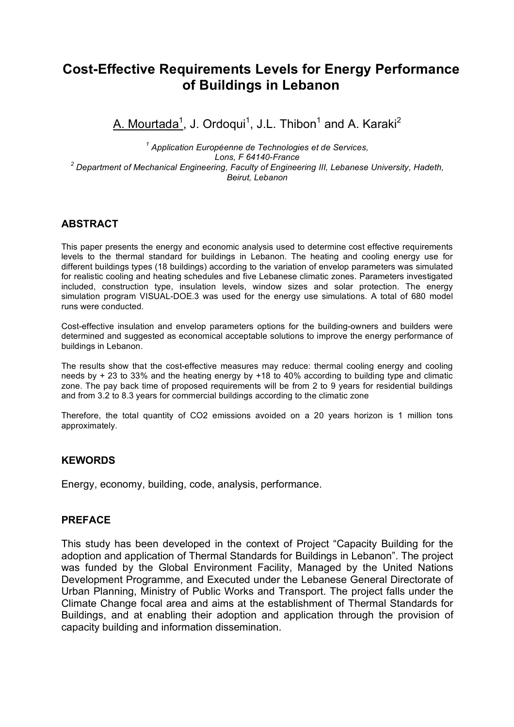# **Cost-Effective Requirements Levels for Energy Performance of Buildings in Lebanon**

<u>A. Mourtada<sup>1</sup>,</u> J. Ordoqui<sup>1</sup>, J.L. Thibon<sup>1</sup> and A. Karaki<sup>2</sup>

*<sup>1</sup> Application Européenne de Technologies et de Services, Lons, F 64140-France <sup>2</sup> Department of Mechanical Engineering, Faculty of Engineering III, Lebanese University, Hadeth, Beirut, Lebanon*

### **ABSTRACT**

This paper presents the energy and economic analysis used to determine cost effective requirements levels to the thermal standard for buildings in Lebanon. The heating and cooling energy use for different buildings types (18 buildings) according to the variation of envelop parameters was simulated for realistic cooling and heating schedules and five Lebanese climatic zones. Parameters investigated included, construction type, insulation levels, window sizes and solar protection. The energy simulation program VISUAL-DOE.3 was used for the energy use simulations. A total of 680 model runs were conducted.

Cost-effective insulation and envelop parameters options for the building-owners and builders were determined and suggested as economical acceptable solutions to improve the energy performance of buildings in Lebanon.

The results show that the cost-effective measures may reduce: thermal cooling energy and cooling needs by + 23 to 33% and the heating energy by +18 to 40% according to building type and climatic zone. The pay back time of proposed requirements will be from 2 to 9 years for residential buildings and from 3.2 to 8.3 years for commercial buildings according to the climatic zone

Therefore, the total quantity of CO2 emissions avoided on a 20 years horizon is 1 million tons approximately.

### **KEWORDS**

Energy, economy, building, code, analysis, performance.

#### **PREFACE**

This study has been developed in the context of Project "Capacity Building for the adoption and application of Thermal Standards for Buildings in Lebanon". The project was funded by the Global Environment Facility, Managed by the United Nations Development Programme, and Executed under the Lebanese General Directorate of Urban Planning, Ministry of Public Works and Transport. The project falls under the Climate Change focal area and aims at the establishment of Thermal Standards for Buildings, and at enabling their adoption and application through the provision of capacity building and information dissemination.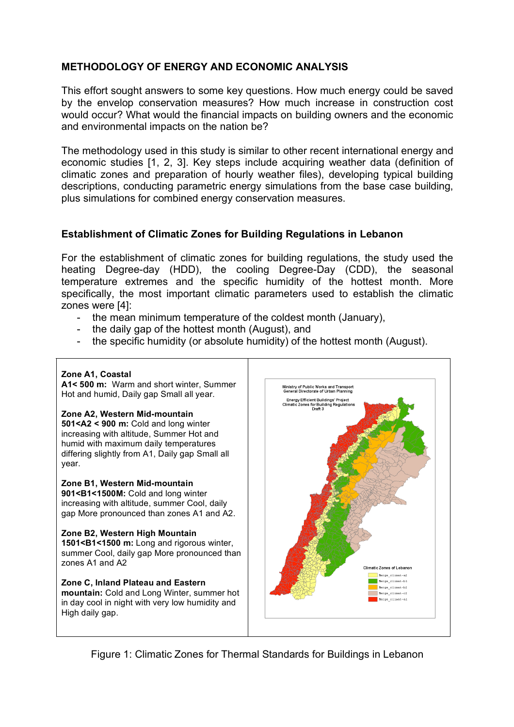## **METHODOLOGY OF ENERGY AND ECONOMIC ANALYSIS**

This effort sought answers to some key questions. How much energy could be saved by the envelop conservation measures? How much increase in construction cost would occur? What would the financial impacts on building owners and the economic and environmental impacts on the nation be?

The methodology used in this study is similar to other recent international energy and economic studies [1, 2, 3]. Key steps include acquiring weather data (definition of climatic zones and preparation of hourly weather files), developing typical building descriptions, conducting parametric energy simulations from the base case building, plus simulations for combined energy conservation measures.

### **Establishment of Climatic Zones for Building Regulations in Lebanon**

For the establishment of climatic zones for building regulations, the study used the heating Degree-day (HDD), the cooling Degree-Day (CDD), the seasonal temperature extremes and the specific humidity of the hottest month. More specifically, the most important climatic parameters used to establish the climatic zones were [4]:

- the mean minimum temperature of the coldest month (January),
- the daily gap of the hottest month (August), and
- the specific humidity (or absolute humidity) of the hottest month (August).

#### **Zone A1, Coastal A1< 500 m:** Warm and short winter, Summer Ministry of Public Works and Transpor<br>General Directorate of Urban Planning Hot and humid, Daily gap Small all year. Energy Efficient Buildings' Project<br>Iimatic Zones for Building Regulation<br>Draft 3 **Zone A2, Western Mid-mountain 501<A2 < 900 m:** Cold and long winter increasing with altitude, Summer Hot and humid with maximum daily temperatures differing slightly from A1, Daily gap Small all year. **Zone B1, Western Mid-mountain 901<B1<1500M:** Cold and long winter increasing with altitude, summer Cool, daily gap More pronounced than zones A1 and A2. **Zone B2, Western High Mountain 1501<B1<1500 m:** Long and rigorous winter, summer Cool, daily gap More pronounced than zones A1 and A2 **Zone C, Inland Plateau and Eastern mountain:** Cold and Long Winter, summer hot in day cool in night with very low humidity and High daily gap.

Figure 1: Climatic Zones for Thermal Standards for Buildings in Lebanon

Climatic Zones of Lebanon Merge climat-a2  $\begin{tabular}{|c|c|} \hline \texttt{Merge\_client-b1} \end{tabular}$ Merge\_climat-b2 Merge\_climat-c2  $\begin{tabular}{|c|c|} \hline \texttt{Merge\_client-al} \end{tabular}$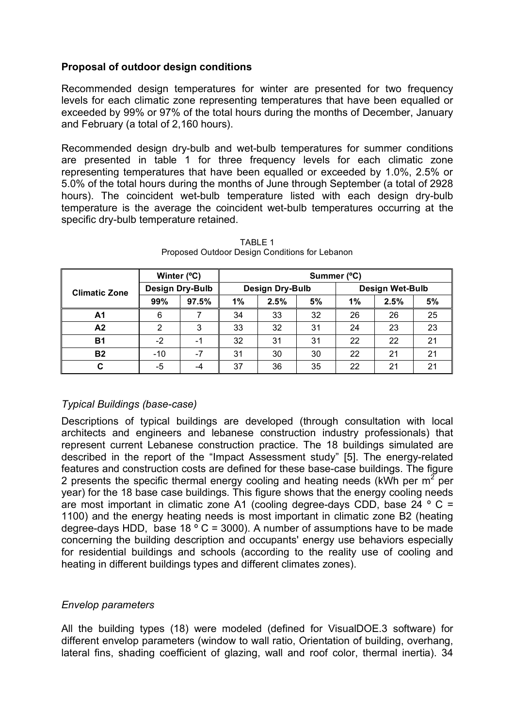### **Proposal of outdoor design conditions**

Recommended design temperatures for winter are presented for two frequency levels for each climatic zone representing temperatures that have been equalled or exceeded by 99% or 97% of the total hours during the months of December, January and February (a total of 2,160 hours).

Recommended design dry-bulb and wet-bulb temperatures for summer conditions are presented in table 1 for three frequency levels for each climatic zone representing temperatures that have been equalled or exceeded by 1.0%, 2.5% or 5.0% of the total hours during the months of June through September (a total of 2928 hours). The coincident wet-bulb temperature listed with each design dry-bulb temperature is the average the coincident wet-bulb temperatures occurring at the specific dry-bulb temperature retained.

|                      | Winter (°C)     |       | Summer (°C)            |      |    |                        |      |    |
|----------------------|-----------------|-------|------------------------|------|----|------------------------|------|----|
| <b>Climatic Zone</b> | Design Dry-Bulb |       | <b>Design Dry-Bulb</b> |      |    | <b>Design Wet-Bulb</b> |      |    |
|                      | 99%             | 97.5% | 1%                     | 2.5% | 5% | 1%                     | 2.5% | 5% |
| A1                   | 6               |       | 34                     | 33   | 32 | 26                     | 26   | 25 |
| A2                   | 2               | 3     | 33                     | 32   | 31 | 24                     | 23   | 23 |
| <b>B1</b>            | $-2$            | -1    | 32                     | 31   | 31 | 22                     | 22   | 21 |
| <b>B2</b>            | $-10$           | $-7$  | 31                     | 30   | 30 | 22                     | 21   | 21 |
| С                    | -5              | -4    | 37                     | 36   | 35 | 22                     | 21   | 21 |

TABLE 1 Proposed Outdoor Design Conditions for Lebanon

## *Typical Buildings (base-case)*

Descriptions of typical buildings are developed (through consultation with local architects and engineers and lebanese construction industry professionals) that represent current Lebanese construction practice. The 18 buildings simulated are described in the report of the "Impact Assessment study" [5]. The energy-related features and construction costs are defined for these base-case buildings. The figure 2 presents the specific thermal energy cooling and heating needs (kWh per  $m^2$  per year) for the 18 base case buildings. This figure shows that the energy cooling needs are most important in climatic zone A1 (cooling degree-days CDD, base 24  $\degree$  C = 1100) and the energy heating needs is most important in climatic zone B2 (heating degree-days HDD, base 18  $\degree$  C = 3000). A number of assumptions have to be made concerning the building description and occupants' energy use behaviors especially for residential buildings and schools (according to the reality use of cooling and heating in different buildings types and different climates zones).

### *Envelop parameters*

All the building types (18) were modeled (defined for VisualDOE.3 software) for different envelop parameters (window to wall ratio, Orientation of building, overhang, lateral fins, shading coefficient of glazing, wall and roof color, thermal inertia). 34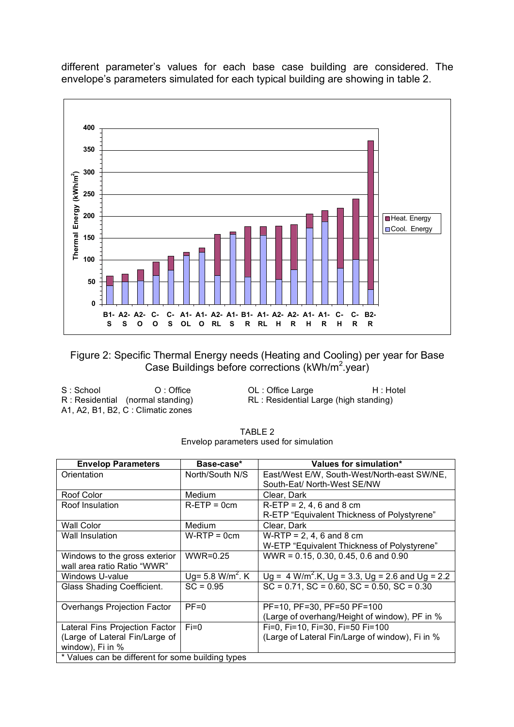

different parameter's values for each base case building are considered. The envelope's parameters simulated for each typical building are showing in table 2.

### Figure 2: Specific Thermal Energy needs (Heating and Cooling) per year for Base Case Buildings before corrections (kWh/m<sup>2</sup>.year)

| S : School | O: Office                          |
|------------|------------------------------------|
|            | R: Residential (normal standing)   |
|            | A1, A2, B1, B2, C : Climatic zones |

OL : Office Large H : Hotel RL : Residential Large (high standing)

| TABLE 2                                |  |  |  |  |  |
|----------------------------------------|--|--|--|--|--|
| Envelop parameters used for simulation |  |  |  |  |  |

| <b>Envelop Parameters</b>                         | Base-case*                   | Values for simulation*                                        |  |  |
|---------------------------------------------------|------------------------------|---------------------------------------------------------------|--|--|
| Orientation                                       | North/South N/S              | East/West E/W, South-West/North-east SW/NE,                   |  |  |
|                                                   |                              | South-Eat/ North-West SE/NW                                   |  |  |
| Roof Color                                        | Medium                       | Clear, Dark                                                   |  |  |
| Roof Insulation                                   | $R-ETF = 0cm$                | $R-ETF = 2, 4, 6, and 8, cm$                                  |  |  |
|                                                   |                              | R-ETP "Equivalent Thickness of Polystyrene"                   |  |  |
| <b>Wall Color</b>                                 | Medium                       | Clear, Dark                                                   |  |  |
| Wall Insulation                                   | $W-RTP = 0cm$                | $W-RTP = 2, 4, 6$ and 8 cm                                    |  |  |
|                                                   |                              | W-ETP "Equivalent Thickness of Polystyrene"                   |  |  |
| Windows to the gross exterior                     | $WWR=0.25$                   | WWR = 0.15, 0.30, 0.45, 0.6 and 0.90                          |  |  |
| wall area ratio Ratio "WWR"                       |                              |                                                               |  |  |
| Windows U-value                                   | Ug= 5.8 W/m <sup>2</sup> . K | $Ug = 4$ W/m <sup>2</sup> .K, Ug = 3.3, Ug = 2.6 and Ug = 2.2 |  |  |
| Glass Shading Coefficient.                        | $SC = 0.95$                  | $SC = 0.71$ , $SC = 0.60$ , $SC = 0.50$ , $SC = 0.30$         |  |  |
|                                                   |                              |                                                               |  |  |
| <b>Overhangs Projection Factor</b>                | $PF=0$                       | PF=10, PF=30, PF=50 PF=100                                    |  |  |
|                                                   |                              | (Large of overhang/Height of window), PF in %                 |  |  |
| Lateral Fins Projection Factor                    | $Fi=0$                       | Fi=0, Fi=10, Fi=30, Fi=50 Fi=100                              |  |  |
| (Large of Lateral Fin/Large of                    |                              | (Large of Lateral Fin/Large of window), Fi in %               |  |  |
| window), Fi in %                                  |                              |                                                               |  |  |
| * Values can be different for some building types |                              |                                                               |  |  |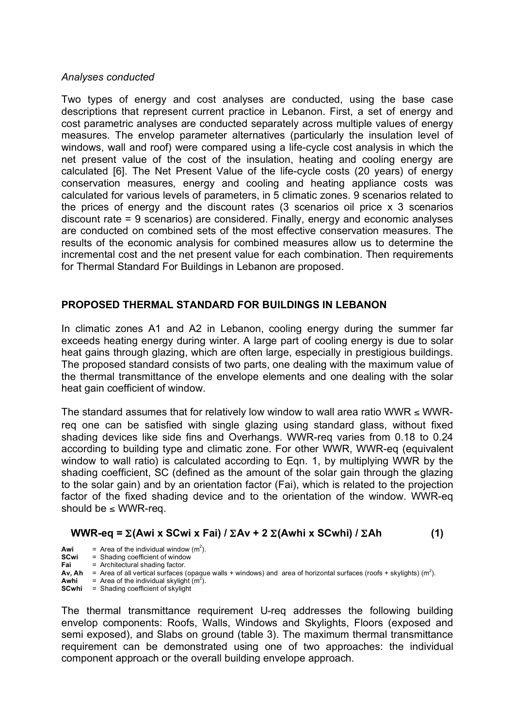### *Analyses conducted*

Two types of energy and cost analyses are conducted, using the base case descriptions that represent current practice in Lebanon. First, a set of energy and cost parametric analyses are conducted separately across multiple values of energy measures. The envelop parameter alternatives (particularly the insulation level of windows, wall and roof) were compared using a life-cycle cost analysis in which the net present value of the cost of the insulation, heating and cooling energy are calculated [6]. The Net Present Value of the life-cycle costs (20 years) of energy conservation measures, energy and cooling and heating appliance costs was calculated for various levels of parameters, in 5 climatic zones. 9 scenarios related to the prices of energy and the discount rates (3 scenarios oil price x 3 scenarios discount rate = 9 scenarios) are considered. Finally, energy and economic analyses are conducted on combined sets of the most effective conservation measures. The results of the economic analysis for combined measures allow us to determine the incremental cost and the net present value for each combination. Then requirements for Thermal Standard For Buildings in Lebanon are proposed.

### **PROPOSED THERMAL STANDARD FOR BUILDINGS IN LEBANON**

In climatic zones A1 and A2 in Lebanon, cooling energy during the summer far exceeds heating energy during winter. A large part of cooling energy is due to solar heat gains through glazing, which are often large, especially in prestigious buildings. The proposed standard consists of two parts, one dealing with the maximum value of the thermal transmittance of the envelope elements and one dealing with the solar heat gain coefficient of window.

The standard assumes that for relatively low window to wall area ratio WWR  $\leq$  WWRreq one can be satisfied with single glazing using standard glass, without fixed shading devices like side fins and Overhangs. WWR-req varies from 0.18 to 0.24 according to building type and climatic zone. For other WWR, WWR-eq (equivalent window to wall ratio) is calculated according to Eqn. 1, by multiplying WWR by the shading coefficient, SC (defined as the amount of the solar gain through the glazing to the solar gain) and by an orientation factor (Fai), which is related to the projection factor of the fixed shading device and to the orientation of the window. WWR-eq should be  $\leq$  WWR-req.

### **WWR-eq =** Σ**(Awi x SCwi x Fai) /** Σ**Av + 2** Σ**(Awhi x SCwhi) /** Σ**Ah (1)**

- **Awi** = Area of the individual window  $(m^2)$ .
- **SCwi** = Shading coefficient of window<br> **Fai** = Architectural shading factor
- **Fail = Architectural shading factor.**
- Av, Ah  $=$  Area of all vertical surfaces (opaque walls + windows) and area of horizontal surfaces (roofs + skylights) (m<sup>2</sup>).
- **Awhi** = Area of the individual skylight  $(m^2)$ . **SCwhi** = Shading coefficient of skylight

The thermal transmittance requirement U-req addresses the following building envelop components: Roofs, Walls, Windows and Skylights, Floors (exposed and semi exposed), and Slabs on ground (table 3). The maximum thermal transmittance requirement can be demonstrated using one of two approaches: the individual component approach or the overall building envelope approach.